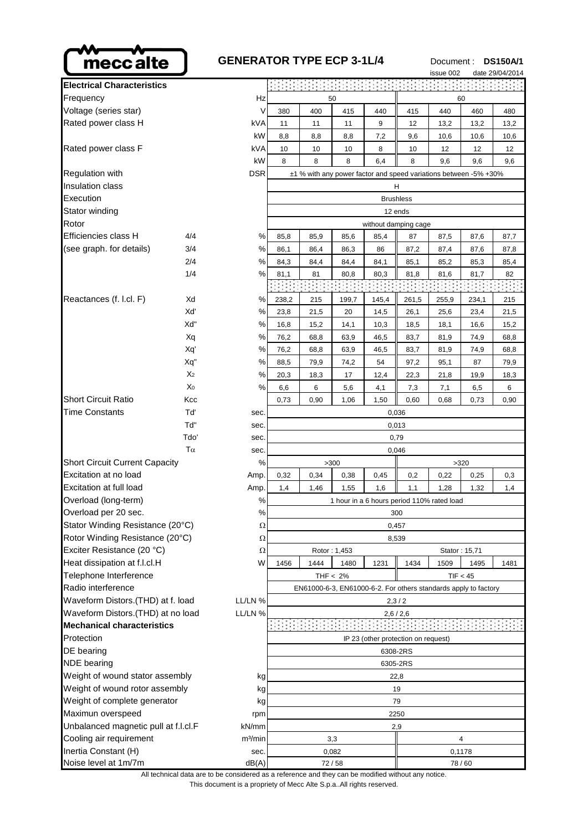

| mecc alte                                                               | <b>GENERATOR TYPE ECP 3-1L/4</b> |                                                                 |                      |                                                                  |       |       | Document: |               | <b>DS150A/1</b> |  |
|-------------------------------------------------------------------------|----------------------------------|-----------------------------------------------------------------|----------------------|------------------------------------------------------------------|-------|-------|-----------|---------------|-----------------|--|
| <b>Electrical Characteristics</b>                                       |                                  |                                                                 |                      |                                                                  |       |       | issue 002 |               | date 29/04/2014 |  |
| Frequency                                                               | Hz                               |                                                                 |                      | 50                                                               |       |       |           | 60            |                 |  |
| Voltage (series star)                                                   | V                                | 380                                                             | 400                  | 415                                                              | 440   | 415   | 440       | 460           | 480             |  |
| Rated power class H                                                     | kVA                              | 11                                                              | 11                   | 11                                                               | 9     | 12    | 13,2      | 13,2          | 13,2            |  |
|                                                                         | kW                               | 8,8                                                             | 8,8                  | 8,8                                                              | 7,2   | 9,6   | 10,6      | 10,6          | 10,6            |  |
| Rated power class F                                                     | kVA                              | 10                                                              | 10                   | 10                                                               | 8     | 10    | 12        | 12            | 12              |  |
|                                                                         | kW                               | 8                                                               | 8                    | 8                                                                | 6,4   | 8     | 9,6       | 9,6           | 9,6             |  |
| Regulation with                                                         | <b>DSR</b>                       |                                                                 |                      | ±1 % with any power factor and speed variations between -5% +30% |       |       |           |               |                 |  |
| Insulation class                                                        |                                  |                                                                 |                      |                                                                  |       | н     |           |               |                 |  |
| Execution                                                               |                                  | <b>Brushless</b>                                                |                      |                                                                  |       |       |           |               |                 |  |
| Stator winding                                                          |                                  | 12 ends                                                         |                      |                                                                  |       |       |           |               |                 |  |
| Rotor                                                                   |                                  |                                                                 | without damping cage |                                                                  |       |       |           |               |                 |  |
| Efficiencies class H                                                    | 4/4<br>$\%$                      | 85,8                                                            | 85,9                 | 85,6                                                             | 85,4  | 87    | 87,5      | 87,6          | 87,7            |  |
| (see graph. for details)                                                | 3/4<br>$\%$                      | 86,1                                                            | 86,4                 | 86,3                                                             | 86    | 87,2  | 87,4      | 87,6          | 87,8            |  |
|                                                                         | 2/4<br>%                         | 84,3                                                            | 84,4                 | 84,4                                                             | 84,1  | 85,1  | 85,2      | 85,3          | 85,4            |  |
|                                                                         | 1/4<br>%                         | 81,1                                                            | 81                   | 80,8                                                             | 80,3  | 81,8  | 81,6      | 81,7          | 82              |  |
|                                                                         |                                  |                                                                 |                      |                                                                  |       |       |           |               |                 |  |
| Reactances (f. l.cl. F)                                                 | Xd<br>%                          | 238,2                                                           | 215                  | 199,7                                                            | 145,4 | 261,5 | 255,9     | 234,1         | 215             |  |
|                                                                         | Xď<br>%                          | 23,8                                                            | 21,5                 | 20                                                               | 14,5  | 26,1  | 25,6      | 23,4          | 21,5            |  |
|                                                                         | Xd"<br>%                         | 16,8                                                            | 15,2                 | 14,1                                                             | 10,3  | 18,5  | 18,1      | 16,6          | 15,2            |  |
|                                                                         | ℅<br>Xq                          | 76,2                                                            | 68,8                 | 63,9                                                             | 46,5  | 83,7  | 81,9      | 74,9          | 68,8            |  |
|                                                                         | %<br>Xq'                         | 76,2                                                            | 68,8                 | 63,9                                                             | 46,5  | 83,7  | 81,9      | 74,9          | 68,8            |  |
|                                                                         | Xq"<br>$\%$                      | 88,5                                                            | 79,9                 | 74,2                                                             | 54    | 97,2  | 95,1      | 87            | 79,9            |  |
|                                                                         | X <sub>2</sub><br>%              | 20,3                                                            | 18,3                 | 17                                                               | 12,4  | 22,3  | 21,8      | 19,9          | 18,3            |  |
|                                                                         | X <sub>0</sub><br>$\%$           | 6,6                                                             | 6                    | 5,6                                                              | 4,1   | 7,3   | 7,1       | 6,5           | 6               |  |
| <b>Short Circuit Ratio</b>                                              | Kcc                              | 0,73                                                            | 0,90                 | 1,06                                                             | 1,50  | 0,60  | 0,68      | 0,73          | 0,90            |  |
| Time Constants                                                          | Tď<br>sec.                       | 0,036                                                           |                      |                                                                  |       |       |           |               |                 |  |
|                                                                         | Td"<br>sec.                      | 0,013                                                           |                      |                                                                  |       |       |           |               |                 |  |
|                                                                         | Tdo'<br>sec.                     |                                                                 |                      |                                                                  |       | 0,79  |           |               |                 |  |
|                                                                         | $T\alpha$<br>sec.                | 0,046                                                           |                      |                                                                  |       |       |           |               |                 |  |
| <b>Short Circuit Current Capacity</b>                                   |                                  |                                                                 |                      | >300                                                             |       |       |           | >320          |                 |  |
| Excitation at no load                                                   | Amp.                             | 0,32                                                            | 0,34                 | 0,38                                                             | 0,45  | 0,2   | 0,22      | 0,25          | 0,3             |  |
| Excitation at full load<br>Amp.                                         |                                  | 1,4                                                             | 1,46                 | 1,55                                                             | 1,6   | 1,1   | 1,28      | 1,32          | 1,4             |  |
| Overload (long-term)<br>$\%$                                            |                                  | 1 hour in a 6 hours period 110% rated load                      |                      |                                                                  |       |       |           |               |                 |  |
| Overload per 20 sec.<br>%                                               |                                  | 300                                                             |                      |                                                                  |       |       |           |               |                 |  |
| Stator Winding Resistance (20°C)<br>Ω                                   |                                  | 0,457                                                           |                      |                                                                  |       |       |           |               |                 |  |
| Rotor Winding Resistance (20°C)<br>Ω                                    |                                  |                                                                 |                      |                                                                  |       | 8,539 |           |               |                 |  |
| Exciter Resistance (20 °C)<br>Ω                                         |                                  |                                                                 |                      | Rotor: 1,453                                                     |       |       |           | Stator: 15,71 |                 |  |
| Heat dissipation at f.l.cl.H<br>W                                       |                                  | 1456                                                            | 1444                 | 1480                                                             | 1231  | 1434  | 1509      | 1495          | 1481            |  |
| Telephone Interference                                                  |                                  | THF $< 2\%$<br>TIF < 45                                         |                      |                                                                  |       |       |           |               |                 |  |
| Radio interference                                                      |                                  | EN61000-6-3, EN61000-6-2. For others standards apply to factory |                      |                                                                  |       |       |           |               |                 |  |
| Waveform Distors.(THD) at f. load<br>LL/LN %                            |                                  | 2,3/2                                                           |                      |                                                                  |       |       |           |               |                 |  |
| Waveform Distors. (THD) at no load<br>LL/LN %                           |                                  | 2,6/2,6                                                         |                      |                                                                  |       |       |           |               |                 |  |
| <b>Mechanical characteristics</b>                                       |                                  | IP 23 (other protection on request)                             |                      |                                                                  |       |       |           |               |                 |  |
| Protection                                                              |                                  |                                                                 |                      |                                                                  |       |       |           |               |                 |  |
| DE bearing                                                              |                                  | 6308-2RS                                                        |                      |                                                                  |       |       |           |               |                 |  |
| <b>NDE</b> bearing                                                      |                                  | 6305-2RS                                                        |                      |                                                                  |       |       |           |               |                 |  |
| Weight of wound stator assembly<br>kg<br>Weight of wound rotor assembly |                                  | 22,8                                                            |                      |                                                                  |       |       |           |               |                 |  |
| kg<br>Weight of complete generator<br>kg                                |                                  | 19<br>79                                                        |                      |                                                                  |       |       |           |               |                 |  |
| Maximun overspeed<br>rpm                                                |                                  | 2250                                                            |                      |                                                                  |       |       |           |               |                 |  |

Short Circuit Ratio **Kcc** Time Constants Td' Sec. 06 Short Circuit Current Capacity Excitation at no load Amp. 0,332 0,386 0,388 0,388 0,388 0,388 0,388 0,388 0,388 0,388 0,388 0,388 0,388 0,38 Excitation at full load Am Overload (long-term) Overload per 20 sec. Stator Winding Resistance (20°C) Rotor Winding Resistance (20°C) Exciter Resistance (20 °C) Heat dissipation at f.l.cl.H Telephone Interference Radio interference Waveform Distors.(THD) at f. load LL/LN Waveform Distors.(THD) at no load LL/LN **Mechanical characteristics** DE bearing NDE bearing Weight of wound stator assembly Weight of wound rotor assembly Weight of complete generator Maximun overspeed rpm 2250 cm 2250 cm 2250 cm 2250 cm 2250 cm 2250 cm 2250 cm 2250 cm 2250 cm 2250 cm 2250 cm 2 Unbalanced magnetic pull at f.l.cl.F kN/mm kn/mm and the case of the case of the case of the case of the case o Cooling air requirement  $m<sup>3</sup>/min$  3,3  $\qquad \qquad$  4 Inertia Constant (H) sec. 0,082 0,082 0,1178

All technical data are to be considered as a reference and they can be modified without any notice.

This document is a propriety of Mecc Alte S.p.a..All rights reserved.

Noise level at 1m/7m  $dB(A)$   $72/58$   $72/58$  78/60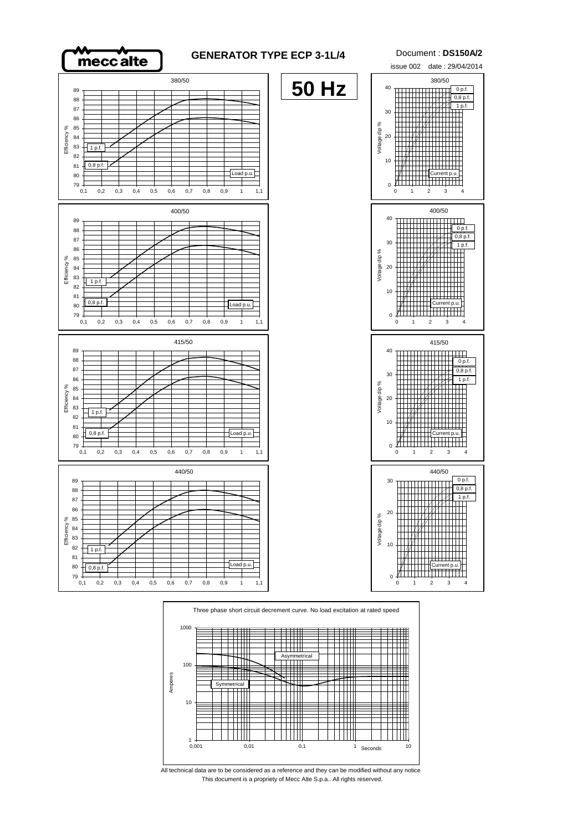



This document is a propriety of Mecc Alte S.p.a.. All rights reserved. All technical data are to be considered as a reference and they can be modified without any notice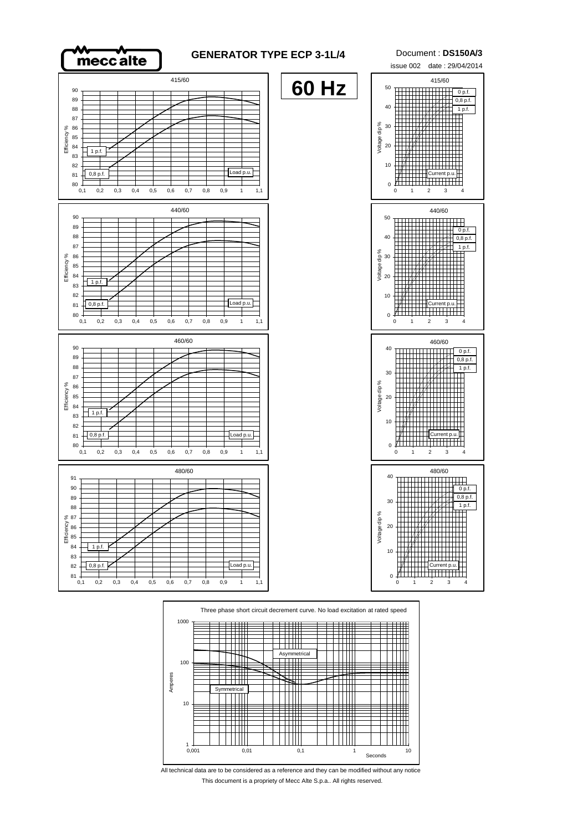

## **GENERATOR TYPE ECP 3-1L/4** Document : **DS150A/3**

**60 Hz**

415/60 90 89 88 87 86 Efficiency % Efficiency % .<br>85 84 1 p.f. 83 82  $0,8$  p.f. 81  $80_{0,1}$ 440/60 90 89 88





0,1 0,2 0,3 0,4 0,5 0,6 0,7 0,8 0,9 1 1,1



All technical data are to be considered as a reference and they can be modified without any notice This document is a propriety of Mecc Alte S.p.a.. All rights reserved.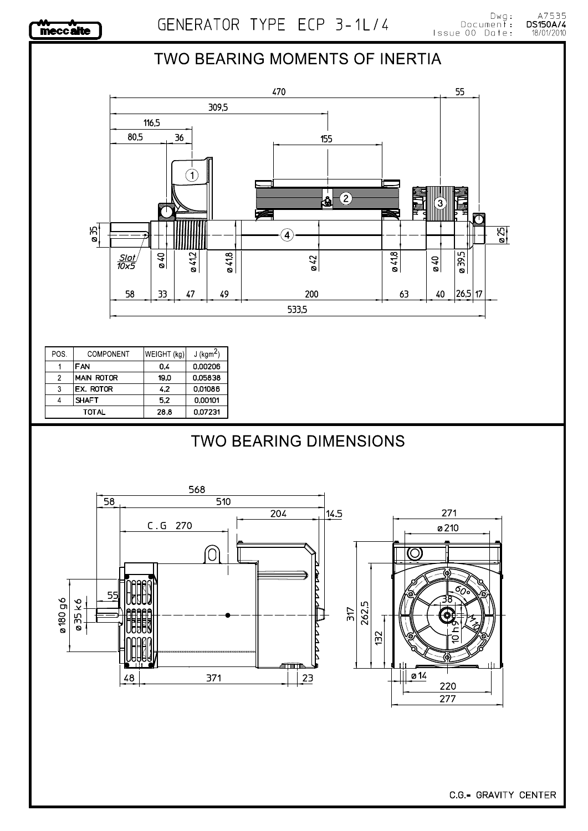

## A7535<br>**DS150A/4** 18/01/2010